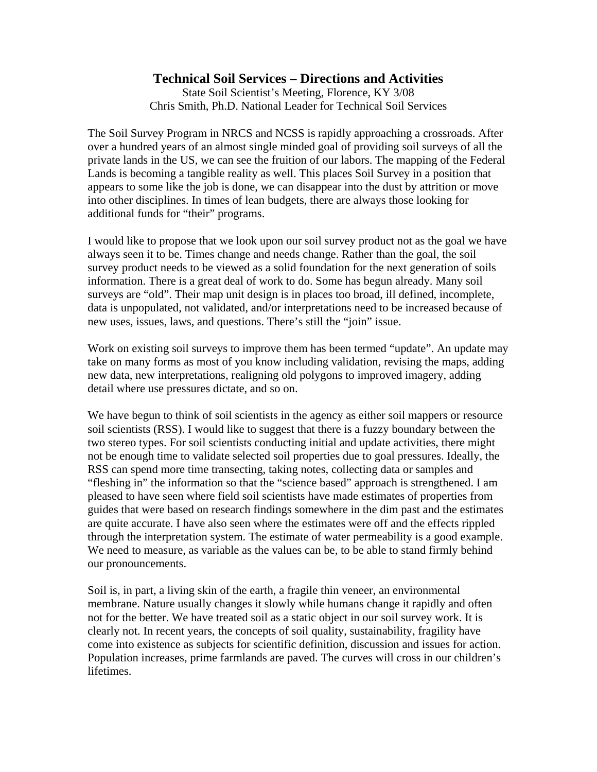## **Technical Soil Services – Directions and Activities**

State Soil Scientist's Meeting, Florence, KY 3/08 Chris Smith, Ph.D. National Leader for Technical Soil Services

The Soil Survey Program in NRCS and NCSS is rapidly approaching a crossroads. After over a hundred years of an almost single minded goal of providing soil surveys of all the private lands in the US, we can see the fruition of our labors. The mapping of the Federal Lands is becoming a tangible reality as well. This places Soil Survey in a position that appears to some like the job is done, we can disappear into the dust by attrition or move into other disciplines. In times of lean budgets, there are always those looking for additional funds for "their" programs.

I would like to propose that we look upon our soil survey product not as the goal we have always seen it to be. Times change and needs change. Rather than the goal, the soil survey product needs to be viewed as a solid foundation for the next generation of soils information. There is a great deal of work to do. Some has begun already. Many soil surveys are "old". Their map unit design is in places too broad, ill defined, incomplete, data is unpopulated, not validated, and/or interpretations need to be increased because of new uses, issues, laws, and questions. There's still the "join" issue.

Work on existing soil surveys to improve them has been termed "update". An update may take on many forms as most of you know including validation, revising the maps, adding new data, new interpretations, realigning old polygons to improved imagery, adding detail where use pressures dictate, and so on.

We have begun to think of soil scientists in the agency as either soil mappers or resource soil scientists (RSS). I would like to suggest that there is a fuzzy boundary between the two stereo types. For soil scientists conducting initial and update activities, there might not be enough time to validate selected soil properties due to goal pressures. Ideally, the RSS can spend more time transecting, taking notes, collecting data or samples and "fleshing in" the information so that the "science based" approach is strengthened. I am pleased to have seen where field soil scientists have made estimates of properties from guides that were based on research findings somewhere in the dim past and the estimates are quite accurate. I have also seen where the estimates were off and the effects rippled through the interpretation system. The estimate of water permeability is a good example. We need to measure, as variable as the values can be, to be able to stand firmly behind our pronouncements.

Soil is, in part, a living skin of the earth, a fragile thin veneer, an environmental membrane. Nature usually changes it slowly while humans change it rapidly and often not for the better. We have treated soil as a static object in our soil survey work. It is clearly not. In recent years, the concepts of soil quality, sustainability, fragility have come into existence as subjects for scientific definition, discussion and issues for action. Population increases, prime farmlands are paved. The curves will cross in our children's lifetimes.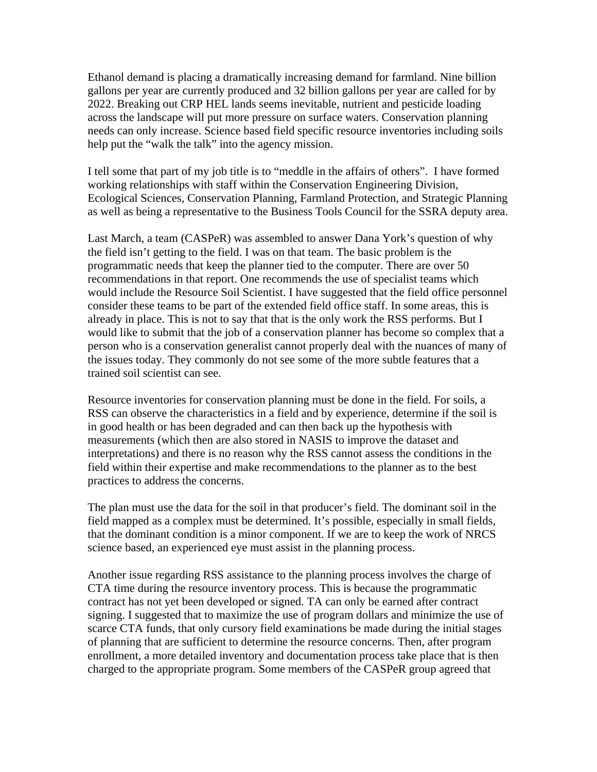Ethanol demand is placing a dramatically increasing demand for farmland. Nine billion gallons per year are currently produced and 32 billion gallons per year are called for by 2022. Breaking out CRP HEL lands seems inevitable, nutrient and pesticide loading across the landscape will put more pressure on surface waters. Conservation planning needs can only increase. Science based field specific resource inventories including soils help put the "walk the talk" into the agency mission.

I tell some that part of my job title is to "meddle in the affairs of others". I have formed working relationships with staff within the Conservation Engineering Division, Ecological Sciences, Conservation Planning, Farmland Protection, and Strategic Planning as well as being a representative to the Business Tools Council for the SSRA deputy area.

Last March, a team (CASPeR) was assembled to answer Dana York's question of why the field isn't getting to the field. I was on that team. The basic problem is the programmatic needs that keep the planner tied to the computer. There are over 50 recommendations in that report. One recommends the use of specialist teams which would include the Resource Soil Scientist. I have suggested that the field office personnel consider these teams to be part of the extended field office staff. In some areas, this is already in place. This is not to say that that is the only work the RSS performs. But I would like to submit that the job of a conservation planner has become so complex that a person who is a conservation generalist cannot properly deal with the nuances of many of the issues today. They commonly do not see some of the more subtle features that a trained soil scientist can see.

Resource inventories for conservation planning must be done in the field. For soils, a RSS can observe the characteristics in a field and by experience, determine if the soil is in good health or has been degraded and can then back up the hypothesis with measurements (which then are also stored in NASIS to improve the dataset and interpretations) and there is no reason why the RSS cannot assess the conditions in the field within their expertise and make recommendations to the planner as to the best practices to address the concerns.

The plan must use the data for the soil in that producer's field. The dominant soil in the field mapped as a complex must be determined. It's possible, especially in small fields, that the dominant condition is a minor component. If we are to keep the work of NRCS science based, an experienced eye must assist in the planning process.

Another issue regarding RSS assistance to the planning process involves the charge of CTA time during the resource inventory process. This is because the programmatic contract has not yet been developed or signed. TA can only be earned after contract signing. I suggested that to maximize the use of program dollars and minimize the use of scarce CTA funds, that only cursory field examinations be made during the initial stages of planning that are sufficient to determine the resource concerns. Then, after program enrollment, a more detailed inventory and documentation process take place that is then charged to the appropriate program. Some members of the CASPeR group agreed that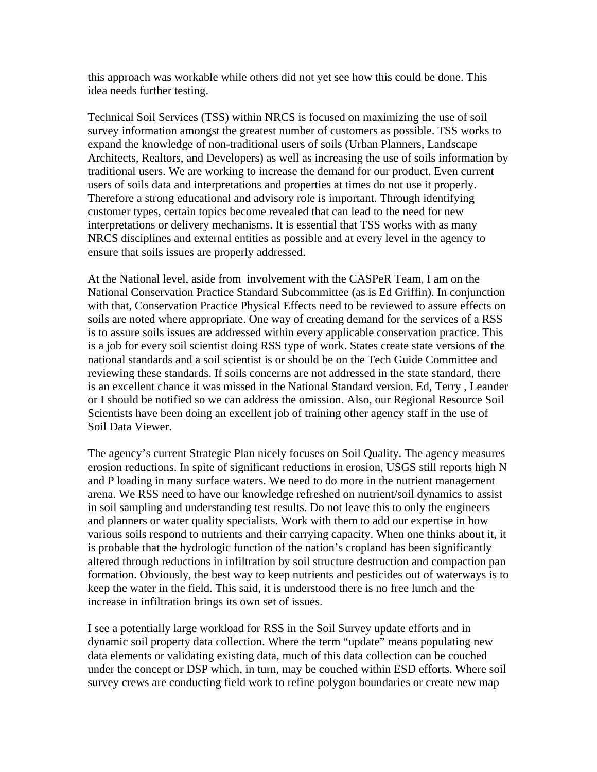this approach was workable while others did not yet see how this could be done. This idea needs further testing.

Technical Soil Services (TSS) within NRCS is focused on maximizing the use of soil survey information amongst the greatest number of customers as possible. TSS works to expand the knowledge of non-traditional users of soils (Urban Planners, Landscape Architects, Realtors, and Developers) as well as increasing the use of soils information by traditional users. We are working to increase the demand for our product. Even current users of soils data and interpretations and properties at times do not use it properly. Therefore a strong educational and advisory role is important. Through identifying customer types, certain topics become revealed that can lead to the need for new interpretations or delivery mechanisms. It is essential that TSS works with as many NRCS disciplines and external entities as possible and at every level in the agency to ensure that soils issues are properly addressed.

At the National level, aside from involvement with the CASPeR Team, I am on the National Conservation Practice Standard Subcommittee (as is Ed Griffin). In conjunction with that, Conservation Practice Physical Effects need to be reviewed to assure effects on soils are noted where appropriate. One way of creating demand for the services of a RSS is to assure soils issues are addressed within every applicable conservation practice. This is a job for every soil scientist doing RSS type of work. States create state versions of the national standards and a soil scientist is or should be on the Tech Guide Committee and reviewing these standards. If soils concerns are not addressed in the state standard, there is an excellent chance it was missed in the National Standard version. Ed, Terry , Leander or I should be notified so we can address the omission. Also, our Regional Resource Soil Scientists have been doing an excellent job of training other agency staff in the use of Soil Data Viewer.

The agency's current Strategic Plan nicely focuses on Soil Quality. The agency measures erosion reductions. In spite of significant reductions in erosion, USGS still reports high N and P loading in many surface waters. We need to do more in the nutrient management arena. We RSS need to have our knowledge refreshed on nutrient/soil dynamics to assist in soil sampling and understanding test results. Do not leave this to only the engineers and planners or water quality specialists. Work with them to add our expertise in how various soils respond to nutrients and their carrying capacity. When one thinks about it, it is probable that the hydrologic function of the nation's cropland has been significantly altered through reductions in infiltration by soil structure destruction and compaction pan formation. Obviously, the best way to keep nutrients and pesticides out of waterways is to keep the water in the field. This said, it is understood there is no free lunch and the increase in infiltration brings its own set of issues.

I see a potentially large workload for RSS in the Soil Survey update efforts and in dynamic soil property data collection. Where the term "update" means populating new data elements or validating existing data, much of this data collection can be couched under the concept or DSP which, in turn, may be couched within ESD efforts. Where soil survey crews are conducting field work to refine polygon boundaries or create new map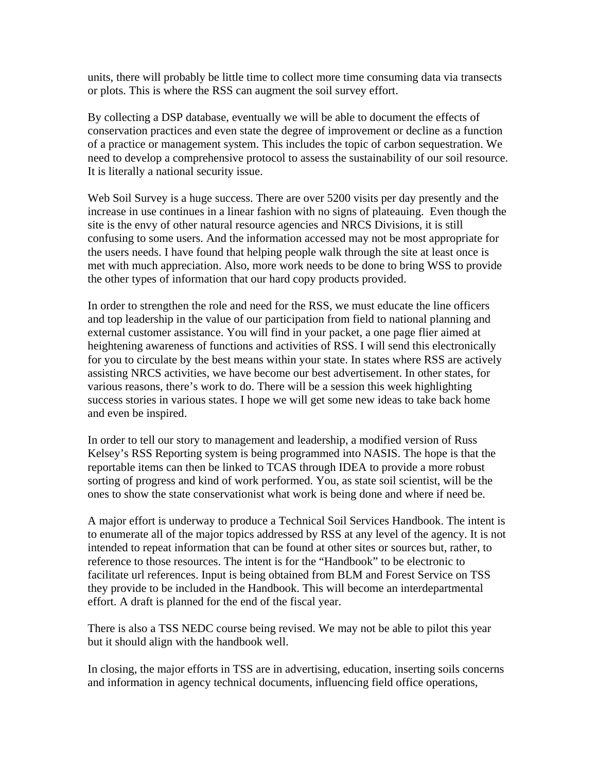units, there will probably be little time to collect more time consuming data via transects or plots. This is where the RSS can augment the soil survey effort.

By collecting a DSP database, eventually we will be able to document the effects of conservation practices and even state the degree of improvement or decline as a function of a practice or management system. This includes the topic of carbon sequestration. We need to develop a comprehensive protocol to assess the sustainability of our soil resource. It is literally a national security issue.

Web Soil Survey is a huge success. There are over 5200 visits per day presently and the increase in use continues in a linear fashion with no signs of plateauing. Even though the site is the envy of other natural resource agencies and NRCS Divisions, it is still confusing to some users. And the information accessed may not be most appropriate for the users needs. I have found that helping people walk through the site at least once is met with much appreciation. Also, more work needs to be done to bring WSS to provide the other types of information that our hard copy products provided.

In order to strengthen the role and need for the RSS, we must educate the line officers and top leadership in the value of our participation from field to national planning and external customer assistance. You will find in your packet, a one page flier aimed at heightening awareness of functions and activities of RSS. I will send this electronically for you to circulate by the best means within your state. In states where RSS are actively assisting NRCS activities, we have become our best advertisement. In other states, for various reasons, there's work to do. There will be a session this week highlighting success stories in various states. I hope we will get some new ideas to take back home and even be inspired.

In order to tell our story to management and leadership, a modified version of Russ Kelsey's RSS Reporting system is being programmed into NASIS. The hope is that the reportable items can then be linked to TCAS through IDEA to provide a more robust sorting of progress and kind of work performed. You, as state soil scientist, will be the ones to show the state conservationist what work is being done and where if need be.

A major effort is underway to produce a Technical Soil Services Handbook. The intent is to enumerate all of the major topics addressed by RSS at any level of the agency. It is not intended to repeat information that can be found at other sites or sources but, rather, to reference to those resources. The intent is for the "Handbook" to be electronic to facilitate url references. Input is being obtained from BLM and Forest Service on TSS they provide to be included in the Handbook. This will become an interdepartmental effort. A draft is planned for the end of the fiscal year.

There is also a TSS NEDC course being revised. We may not be able to pilot this year but it should align with the handbook well.

In closing, the major efforts in TSS are in advertising, education, inserting soils concerns and information in agency technical documents, influencing field office operations,